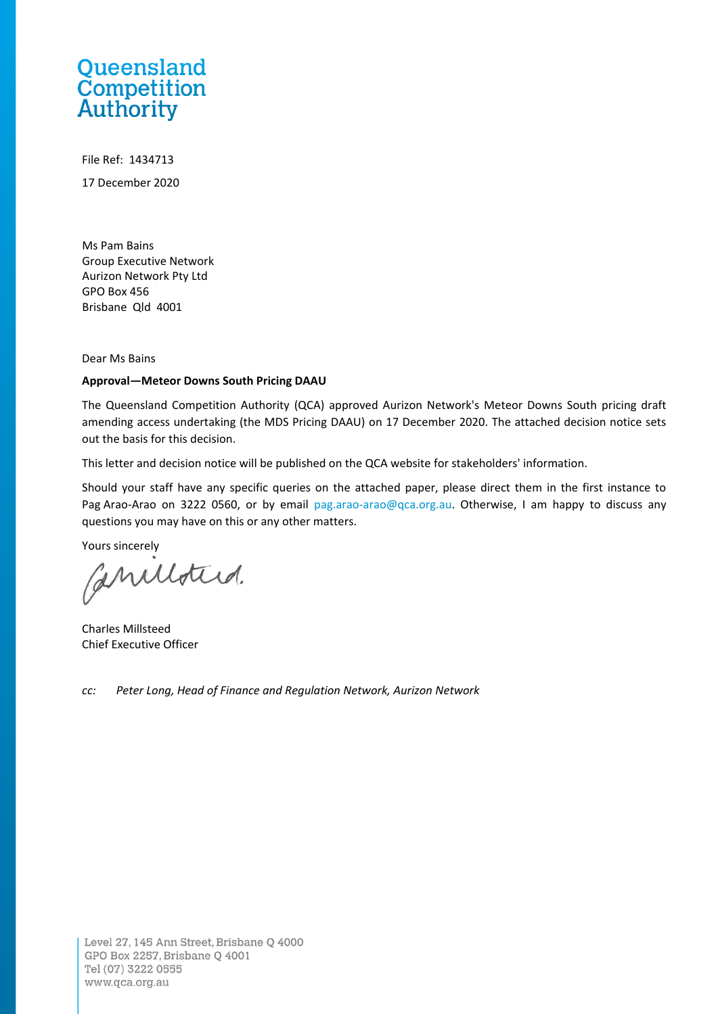# Queensland **Competition**<br>Authority

File Ref: 1434713 17 December 2020

Ms Pam Bains Group Executive Network Aurizon Network Pty Ltd GPO Box 456 Brisbane Qld 4001

Dear Ms Bains

#### **Approval—Meteor Downs South Pricing DAAU**

The Queensland Competition Authority (QCA) approved Aurizon Network's Meteor Downs South pricing draft amending access undertaking (the MDS Pricing DAAU) on 17 December 2020. The attached decision notice sets out the basis for this decision.

This letter and decision notice will be published on the QCA website for stakeholders' information.

Should your staff have any specific queries on the attached paper, please direct them in the first instance to Pag Arao-Arao on 3222 0560, or by email [pag.arao-arao@qca.org.au.](mailto:pag.arao-arao@qca.org.au) Otherwise, I am happy to discuss any questions you may have on this or any other matters.

Yours sincerely

aniloted.

Charles Millsteed Chief Executive Officer

*cc: Peter Long, Head of Finance and Regulation Network, Aurizon Network*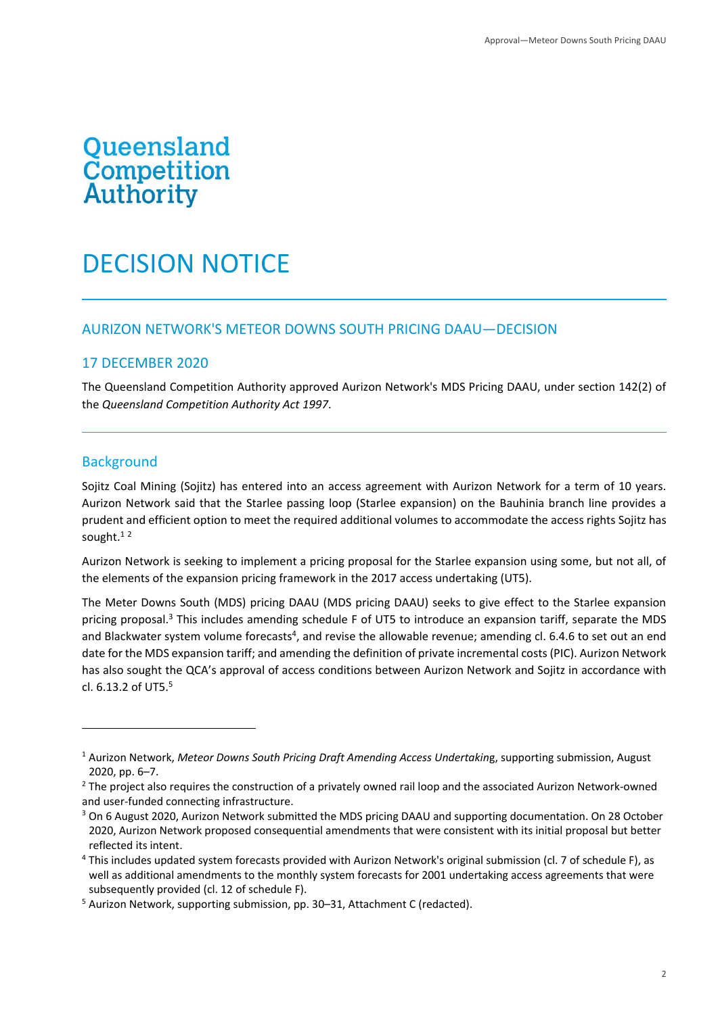# Queensland **Cusensiand**<br>Competition<br>Authority

# DECISION NOTICE

#### AURIZON NETWORK'S METEOR DOWNS SOUTH PRICING DAAU—DECISION

#### 17 DECEMBER 2020

The Queensland Competition Authority approved Aurizon Network's MDS Pricing DAAU, under section 142(2) of the *Queensland Competition Authority Act 1997*.

#### **Background**

Sojitz Coal Mining (Sojitz) has entered into an access agreement with Aurizon Network for a term of 10 years. Aurizon Network said that the Starlee passing loop (Starlee expansion) on the Bauhinia branch line provides a prudent and efficient option to meet the required additional volumes to accommodate the access rights Sojitz has sought. $12$ 

Aurizon Network is seeking to implement a pricing proposal for the Starlee expansion using some, but not all, of the elements of the expansion pricing framework in the 2017 access undertaking (UT5).

The Meter Downs South (MDS) pricing DAAU (MDS pricing DAAU) seeks to give effect to the Starlee expansion pricing proposal.<sup>3</sup> This includes amending schedule F of UT5 to introduce an expansion tariff, separate the MDS and Blackwater system volume forecasts<sup>4</sup>, and revise the allowable revenue; amending cl. 6.4.6 to set out an end date for the MDS expansion tariff; and amending the definition of private incremental costs (PIC). Aurizon Network has also sought the QCA's approval of access conditions between Aurizon Network and Sojitz in accordance with cl.  $6.13.2$  of UT5.<sup>5</sup>

<sup>1</sup> Aurizon Network, *Meteor Downs South Pricing Draft Amending Access Undertakin*g, supporting submission, August 2020, pp. 6–7.

<sup>&</sup>lt;sup>2</sup> The project also requires the construction of a privately owned rail loop and the associated Aurizon Network-owned and user-funded connecting infrastructure.

<sup>&</sup>lt;sup>3</sup> On 6 August 2020, Aurizon Network submitted the MDS pricing DAAU and supporting documentation. On 28 October 2020, Aurizon Network proposed consequential amendments that were consistent with its initial proposal but better reflected its intent.

<sup>4</sup> This includes updated system forecasts provided with Aurizon Network's original submission (cl. 7 of schedule F), as well as additional amendments to the monthly system forecasts for 2001 undertaking access agreements that were subsequently provided (cl. 12 of schedule F).

<sup>5</sup> Aurizon Network, supporting submission, pp. 30–31, Attachment C (redacted).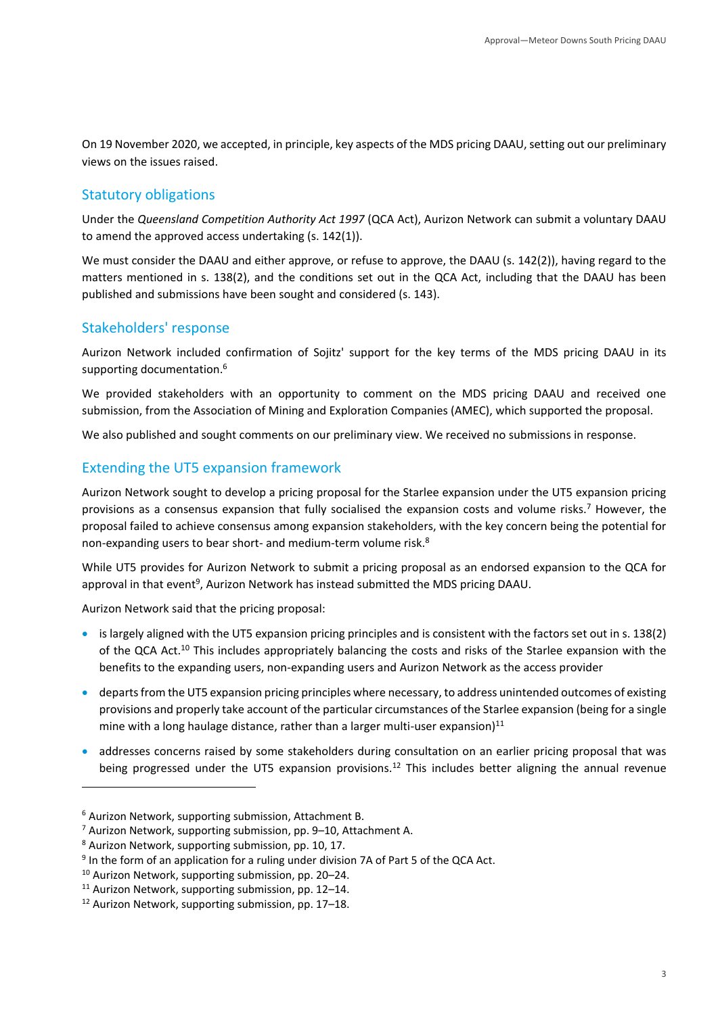On 19 November 2020, we accepted, in principle, key aspects of the MDS pricing DAAU, setting out our preliminary views on the issues raised.

# Statutory obligations

Under the *Queensland Competition Authority Act 1997* (QCA Act), Aurizon Network can submit a voluntary DAAU to amend the approved access undertaking (s. 142(1)).

We must consider the DAAU and either approve, or refuse to approve, the DAAU (s. 142(2)), having regard to the matters mentioned in s. 138(2), and the conditions set out in the QCA Act, including that the DAAU has been published and submissions have been sought and considered (s. 143).

# Stakeholders' response

Aurizon Network included confirmation of Sojitz' support for the key terms of the MDS pricing DAAU in its supporting documentation.<sup>6</sup>

We provided stakeholders with an opportunity to comment on the MDS pricing DAAU and received one submission, from the Association of Mining and Exploration Companies (AMEC), which supported the proposal.

We also published and sought comments on our preliminary view. We received no submissions in response.

## Extending the UT5 expansion framework

Aurizon Network sought to develop a pricing proposal for the Starlee expansion under the UT5 expansion pricing provisions as a consensus expansion that fully socialised the expansion costs and volume risks.<sup>7</sup> However, the proposal failed to achieve consensus among expansion stakeholders, with the key concern being the potential for non-expanding users to bear short- and medium-term volume risk.<sup>8</sup>

While UT5 provides for Aurizon Network to submit a pricing proposal as an endorsed expansion to the QCA for approval in that event<sup>9</sup>, Aurizon Network has instead submitted the MDS pricing DAAU.

Aurizon Network said that the pricing proposal:

- is largely aligned with the UT5 expansion pricing principles and is consistent with the factors set out in s. 138(2) of the QCA Act.<sup>10</sup> This includes appropriately balancing the costs and risks of the Starlee expansion with the benefits to the expanding users, non-expanding users and Aurizon Network as the access provider
- departs from the UT5 expansion pricing principles where necessary, to address unintended outcomes of existing provisions and properly take account of the particular circumstances of the Starlee expansion (being for a single mine with a long haulage distance, rather than a larger multi-user expansion) $11$
- addresses concerns raised by some stakeholders during consultation on an earlier pricing proposal that was being progressed under the UT5 expansion provisions.<sup>12</sup> This includes better aligning the annual revenue

<sup>6</sup> Aurizon Network, supporting submission, Attachment B.

<sup>7</sup> Aurizon Network, supporting submission, pp. 9–10, Attachment A.

<sup>8</sup> Aurizon Network, supporting submission, pp. 10, 17.

<sup>&</sup>lt;sup>9</sup> In the form of an application for a ruling under division 7A of Part 5 of the QCA Act.

<sup>10</sup> Aurizon Network, supporting submission, pp. 20–24.

<sup>11</sup> Aurizon Network, supporting submission, pp. 12–14.

<sup>12</sup> Aurizon Network, supporting submission, pp. 17–18.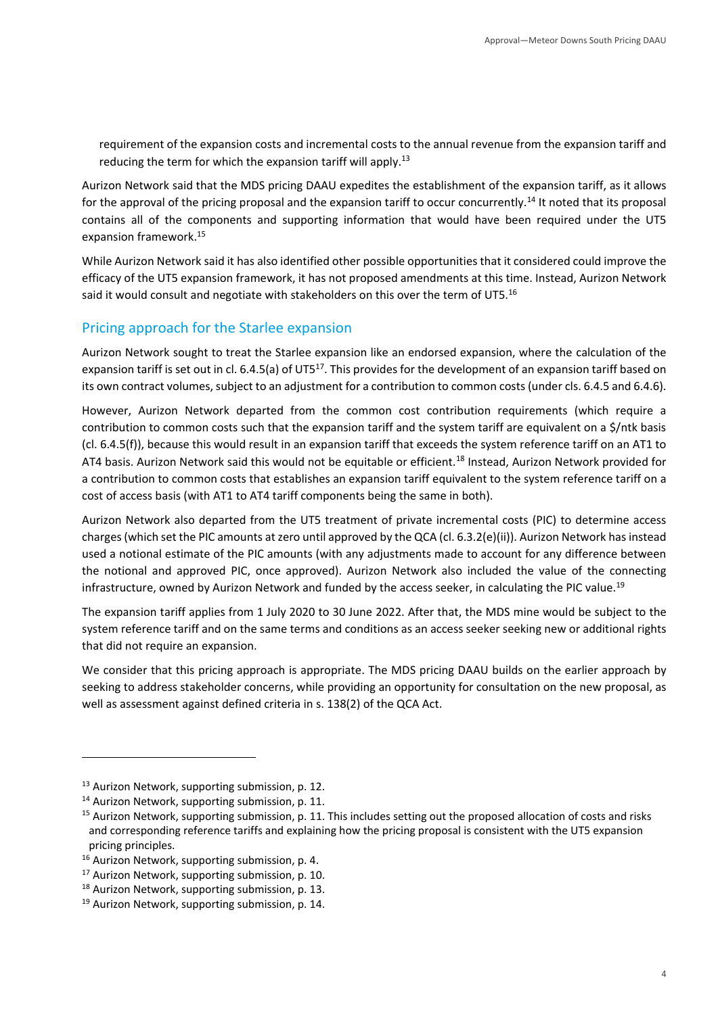requirement of the expansion costs and incremental costs to the annual revenue from the expansion tariff and reducing the term for which the expansion tariff will apply.<sup>13</sup>

Aurizon Network said that the MDS pricing DAAU expedites the establishment of the expansion tariff, as it allows for the approval of the pricing proposal and the expansion tariff to occur concurrently.<sup>14</sup> It noted that its proposal contains all of the components and supporting information that would have been required under the UT5 expansion framework.<sup>15</sup>

While Aurizon Network said it has also identified other possible opportunities that it considered could improve the efficacy of the UT5 expansion framework, it has not proposed amendments at this time. Instead, Aurizon Network said it would consult and negotiate with stakeholders on this over the term of UT5.<sup>16</sup>

#### Pricing approach for the Starlee expansion

Aurizon Network sought to treat the Starlee expansion like an endorsed expansion, where the calculation of the expansion tariff is set out in cl. 6.4.5(a) of UT5<sup>17</sup>. This provides for the development of an expansion tariff based on its own contract volumes, subject to an adjustment for a contribution to common costs (under cls. 6.4.5 and 6.4.6).

However, Aurizon Network departed from the common cost contribution requirements (which require a contribution to common costs such that the expansion tariff and the system tariff are equivalent on a \$/ntk basis (cl. 6.4.5(f)), because this would result in an expansion tariff that exceeds the system reference tariff on an AT1 to AT4 basis. Aurizon Network said this would not be equitable or efficient.<sup>18</sup> Instead, Aurizon Network provided for a contribution to common costs that establishes an expansion tariff equivalent to the system reference tariff on a cost of access basis (with AT1 to AT4 tariff components being the same in both).

Aurizon Network also departed from the UT5 treatment of private incremental costs (PIC) to determine access charges (which set the PIC amounts at zero until approved by the QCA (cl. 6.3.2(e)(ii)). Aurizon Network has instead used a notional estimate of the PIC amounts (with any adjustments made to account for any difference between the notional and approved PIC, once approved). Aurizon Network also included the value of the connecting infrastructure, owned by Aurizon Network and funded by the access seeker, in calculating the PIC value.<sup>19</sup>

The expansion tariff applies from 1 July 2020 to 30 June 2022. After that, the MDS mine would be subject to the system reference tariff and on the same terms and conditions as an access seeker seeking new or additional rights that did not require an expansion.

We consider that this pricing approach is appropriate. The MDS pricing DAAU builds on the earlier approach by seeking to address stakeholder concerns, while providing an opportunity for consultation on the new proposal, as well as assessment against defined criteria in s. 138(2) of the QCA Act.

<sup>&</sup>lt;sup>13</sup> Aurizon Network, supporting submission, p. 12.

<sup>&</sup>lt;sup>14</sup> Aurizon Network, supporting submission, p. 11.

<sup>&</sup>lt;sup>15</sup> Aurizon Network, supporting submission, p. 11. This includes setting out the proposed allocation of costs and risks and corresponding reference tariffs and explaining how the pricing proposal is consistent with the UT5 expansion pricing principles.

<sup>&</sup>lt;sup>16</sup> Aurizon Network, supporting submission, p. 4.

<sup>&</sup>lt;sup>17</sup> Aurizon Network, supporting submission, p. 10.

<sup>&</sup>lt;sup>18</sup> Aurizon Network, supporting submission, p. 13.

<sup>&</sup>lt;sup>19</sup> Aurizon Network, supporting submission, p. 14.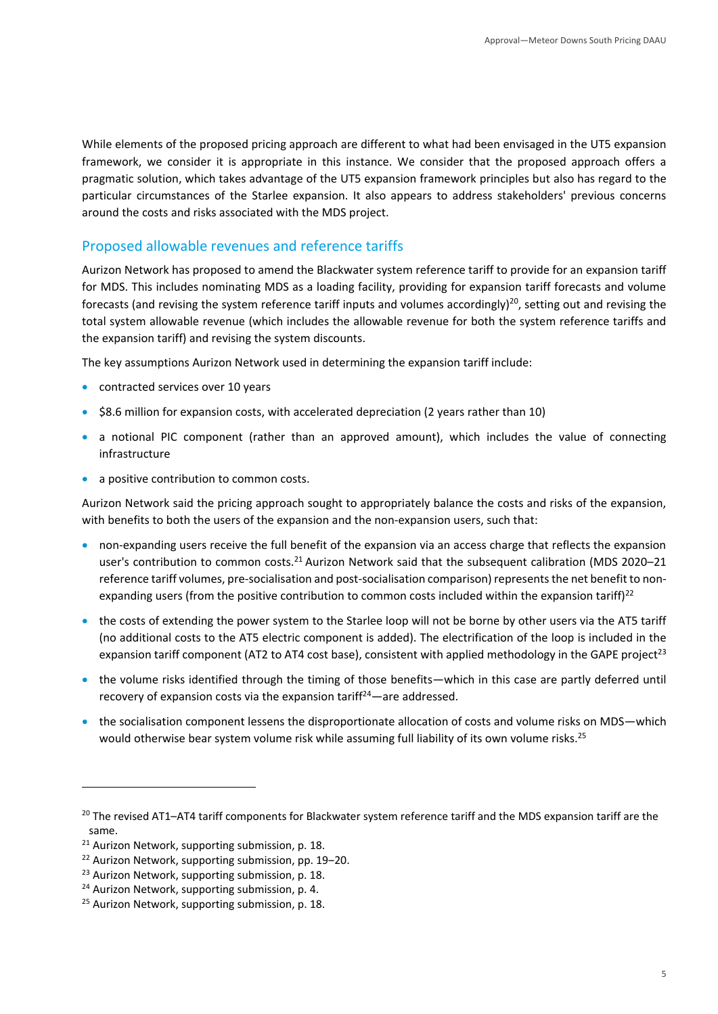While elements of the proposed pricing approach are different to what had been envisaged in the UT5 expansion framework, we consider it is appropriate in this instance. We consider that the proposed approach offers a pragmatic solution, which takes advantage of the UT5 expansion framework principles but also has regard to the particular circumstances of the Starlee expansion. It also appears to address stakeholders' previous concerns around the costs and risks associated with the MDS project.

### Proposed allowable revenues and reference tariffs

Aurizon Network has proposed to amend the Blackwater system reference tariff to provide for an expansion tariff for MDS. This includes nominating MDS as a loading facility, providing for expansion tariff forecasts and volume forecasts (and revising the system reference tariff inputs and volumes accordingly)<sup>20</sup>, setting out and revising the total system allowable revenue (which includes the allowable revenue for both the system reference tariffs and the expansion tariff) and revising the system discounts.

The key assumptions Aurizon Network used in determining the expansion tariff include:

- contracted services over 10 years
- \$8.6 million for expansion costs, with accelerated depreciation (2 years rather than 10)
- a notional PIC component (rather than an approved amount), which includes the value of connecting infrastructure
- a positive contribution to common costs.

Aurizon Network said the pricing approach sought to appropriately balance the costs and risks of the expansion, with benefits to both the users of the expansion and the non-expansion users, such that:

- non-expanding users receive the full benefit of the expansion via an access charge that reflects the expansion user's contribution to common costs.<sup>21</sup> Aurizon Network said that the subsequent calibration (MDS 2020–21 reference tariff volumes, pre-socialisation and post-socialisation comparison) represents the net benefit to nonexpanding users (from the positive contribution to common costs included within the expansion tariff) $^{22}$
- the costs of extending the power system to the Starlee loop will not be borne by other users via the AT5 tariff (no additional costs to the AT5 electric component is added). The electrification of the loop is included in the expansion tariff component (AT2 to AT4 cost base), consistent with applied methodology in the GAPE project<sup>23</sup>
- the volume risks identified through the timing of those benefits—which in this case are partly deferred until recovery of expansion costs via the expansion tariff $24$ —are addressed.
- the socialisation component lessens the disproportionate allocation of costs and volume risks on MDS—which would otherwise bear system volume risk while assuming full liability of its own volume risks.<sup>25</sup>

<sup>&</sup>lt;sup>20</sup> The revised AT1–AT4 tariff components for Blackwater system reference tariff and the MDS expansion tariff are the same.

<sup>&</sup>lt;sup>21</sup> Aurizon Network, supporting submission, p. 18.

<sup>&</sup>lt;sup>22</sup> Aurizon Network, supporting submission, pp. 19-20.

<sup>&</sup>lt;sup>23</sup> Aurizon Network, supporting submission, p. 18.

<sup>&</sup>lt;sup>24</sup> Aurizon Network, supporting submission, p. 4.

<sup>&</sup>lt;sup>25</sup> Aurizon Network, supporting submission, p. 18.